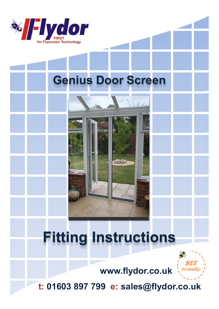

## **Genius Door Screen**

# **Fitting Instructions**



**www.flydor.co.uk**

**t: 01603 897 799 e: sales@flydor.co.uk**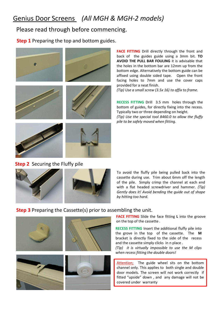## Genius Door Screens *(All MGH & MGH-2 models)*

### Please read through before commencing.

**Step 1** Preparing the top and bottom guides.



**FACE FITTING** Drill directly through the front and back of the guides guide using a 3mm bit. **TO AVOID THE PULL BAR FOULING** it is advisable that the holes in the bottom bar are 12mm up from the bottom edge. Alternatively the bottom guide can be affixed using double sided tape. Open the front facing holes to 7mm and use the cover caps provided for a neat finish.

*(Tip) Use a small screw (3.5x 16) to affix to frame.*

**RECESS FITTING** Drill 3.5 mm holes through the bottom of guides, for directly fixing into the recess. Typically two or three depending on height. *(Tip) Use the special tool 8460.0 to allow the fluffy pile to be safely moved when fitting.*

## **Step 2** Securing the Fluffy pile



To avoid the fluffy pile being pulled back into the cassette during use. Trim about 6mm off the length of the pile. Simply crimp the channel at each end with a flat headed screwdriver and hammer. *(Tip) Gently does it! Avoid bending the guide out of shape by hitting too hard.*

#### **Step 3** Preparing the Cassette(s) prior to assembling the unit.



**FACE FITTING** Slide the face fitting **L** into the groove on the top of the cassette .

**RECESS FITTING** Insert the additional fluffy pile into the grove in the top of the cassette. The **M** bracket is directly fixed to the side of the recess and the cassette simply clicks in n place .

*(Tip) it is virtually impossible to use the M clips when recess fitting the double doors!*

Attention; The guide wheel sits on the bottom channel only. This applies to both single and double door models. The screen will not work correctly if fitted "upside" down , and any damage will not be covered under warranty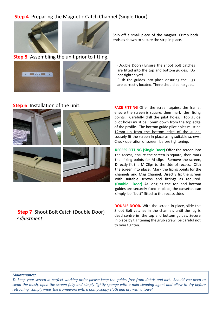### **Step 4** Preparing the Magnetic Catch Channel (Single Door).





**Step 5** Assembling the unit prior to fitting.



Snip off a small piece of the magnet. Crimp both ends as shown to secure the strip in place.

(Double Doors) Ensure the shoot bolt catches are fitted into the top and bottom guides. Do not tighten yet!

Push the guides into place ensuring the lugs are correctly located. There should be no gaps.

#### **Step 6** Installation of the unit.



**Step 7** Shoot Bolt Catch (Double Door) *Adjustment* 

**FACE FITTING** Offer the screen against the frame, ensure the screen is square, then mark the fixing points. Carefully drill the pilot holes. Top guide pilot holes must be 15mm down from the top edge of the profile. The bottom guide pilot holes must be 12mm up from the bottom edge of the guide. Loosely fit the screen in place using suitable screws. Check operation of screen, before tightening.

**RECESS FITTING (Single Door)** Offer the screen into the recess, ensure the screen is square, then mark the fixing points for M clips. Remove the screen, Directly fit the M Clips to the side of recess. Click the screen into place. Mark the fixing points for the channels and Mag Channel. Directly fix the screen with suitable screws and fittings as required. (**Double Door)** As long as the top and bottom guides are securely fixed in place, the cassettes can simply be "butt" fitted to the recess sides

**DOUBLE DOOR.** With the screen in place, slide the Shoot Bolt catches in the channels until the lug is dead centre in the top and bottom guides. Secure in place by tightening the grub screw, be careful not to over tighten.

#### *Maintenance;*

*To keep your screen in perfect working order please keep the guides free from debris and dirt. Should you need to clean the mesh, open the screen fully and simply lightly sponge with a mild cleaning agent and allow to dry before retracting. Simply wipe the framework with a damp soapy cloth and dry with a towel.*